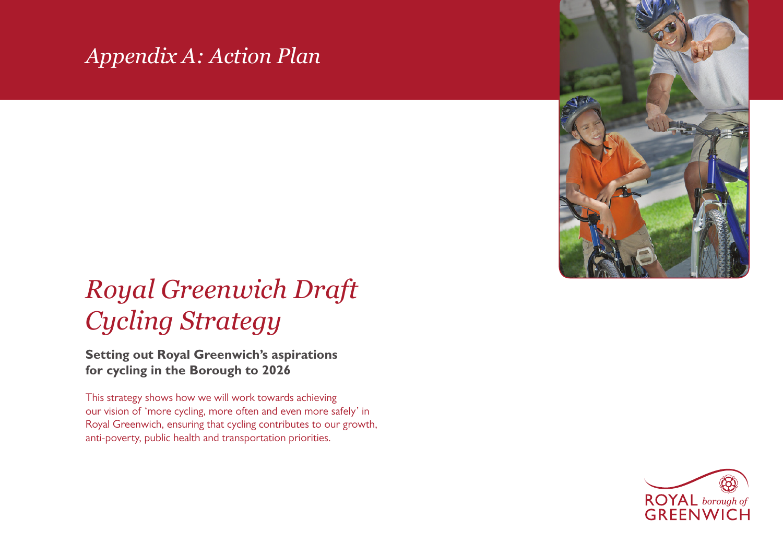## *Appendix A: Action Plan*

## *Royal Greenwich Draft Cycling Strategy*

**Setting out Royal Greenwich's aspirations for cycling in the Borough to 2026**

This strategy shows how we will work towards achieving our vision of 'more cycling, more often and even more safely' in Royal Greenwich, ensuring that cycling contributes to our growth, anti-poverty, public health and transportation priorities.

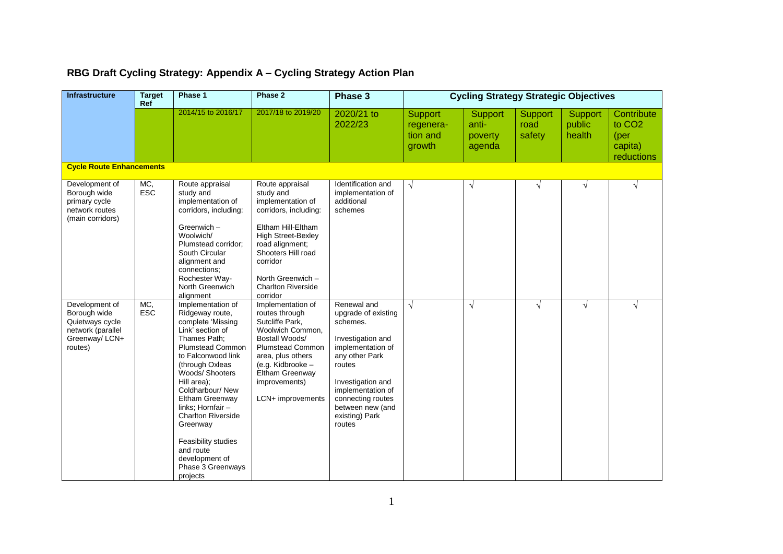## **RBG Draft Cycling Strategy: Appendix A – Cycling Strategy Action Plan**

| Infrastructure                                                                                      | <b>Target</b><br>Ref | Phase 1                                                                                                                                                                                                                                                                                                                                                                                         | Phase 2                                                                                                                                                                                                                                          | Phase 3                                                                                                                                                                                                                             | <b>Cycling Strategy Strategic Objectives</b> |                                              |                           |                             |                                                                             |
|-----------------------------------------------------------------------------------------------------|----------------------|-------------------------------------------------------------------------------------------------------------------------------------------------------------------------------------------------------------------------------------------------------------------------------------------------------------------------------------------------------------------------------------------------|--------------------------------------------------------------------------------------------------------------------------------------------------------------------------------------------------------------------------------------------------|-------------------------------------------------------------------------------------------------------------------------------------------------------------------------------------------------------------------------------------|----------------------------------------------|----------------------------------------------|---------------------------|-----------------------------|-----------------------------------------------------------------------------|
|                                                                                                     |                      | 2014/15 to 2016/17                                                                                                                                                                                                                                                                                                                                                                              | 2017/18 to 2019/20                                                                                                                                                                                                                               | 2020/21 to<br>2022/23                                                                                                                                                                                                               | Support<br>regenera-<br>tion and<br>growth   | <b>Support</b><br>anti-<br>poverty<br>agenda | Support<br>road<br>safety | Support<br>public<br>health | Contribute<br>to CO <sub>2</sub><br>( <i>per</i> )<br>capita)<br>reductions |
| <b>Cycle Route Enhancements</b>                                                                     |                      |                                                                                                                                                                                                                                                                                                                                                                                                 |                                                                                                                                                                                                                                                  |                                                                                                                                                                                                                                     |                                              |                                              |                           |                             |                                                                             |
| Development of<br>Borough wide<br>primary cycle<br>network routes<br>(main corridors)               | MC,<br>ESC           | Route appraisal<br>study and<br>implementation of<br>corridors, including:<br>Greenwich -<br>Woolwich/<br>Plumstead corridor;<br>South Circular<br>alignment and<br>connections;<br>Rochester Way-<br>North Greenwich<br>alignment                                                                                                                                                              | Route appraisal<br>study and<br>implementation of<br>corridors, including:<br>Eltham Hill-Eltham<br><b>High Street-Bexley</b><br>road alignment;<br>Shooters Hill road<br>corridor<br>North Greenwich -<br><b>Charlton Riverside</b><br>corridor | Identification and<br>implementation of<br>additional<br>schemes                                                                                                                                                                    | $\sqrt{ }$                                   | $\sqrt{}$                                    | $\sqrt{ }$                | $\sqrt{ }$                  | $\sqrt{ }$                                                                  |
| Development of<br>Borough wide<br>Quietways cycle<br>network (parallel<br>Greenway/ LCN+<br>routes) | MC,<br><b>ESC</b>    | Implementation of<br>Ridgeway route,<br>complete 'Missing<br>Link' section of<br>Thames Path;<br><b>Plumstead Common</b><br>to Falconwood link<br>(through Oxleas<br>Woods/ Shooters<br>Hill area);<br>Coldharbour/ New<br>Eltham Greenway<br>links: Hornfair -<br><b>Charlton Riverside</b><br>Greenway<br>Feasibility studies<br>and route<br>development of<br>Phase 3 Greenways<br>projects | Implementation of<br>routes through<br>Sutcliffe Park,<br>Woolwich Common,<br>Bostall Woods/<br><b>Plumstead Common</b><br>area, plus others<br>(e.g. Kidbrooke -<br>Eltham Greenway<br>improvements)<br>LCN+ improvements                       | Renewal and<br>upgrade of existing<br>schemes.<br>Investigation and<br>implementation of<br>any other Park<br>routes<br>Investigation and<br>implementation of<br>connecting routes<br>between new (and<br>existing) Park<br>routes | $\sqrt{ }$                                   | $\sqrt{}$                                    | $\sqrt{ }$                | $\sqrt{}$                   | $\sqrt{ }$                                                                  |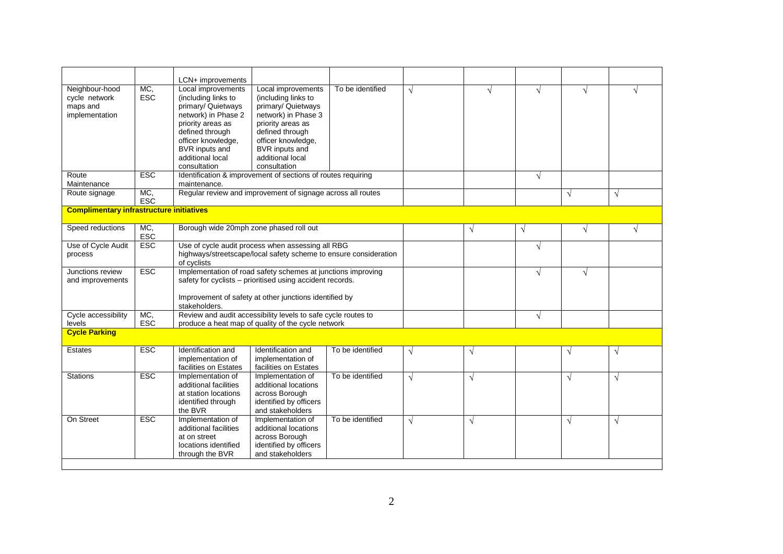|                                                               |                   | LCN+ improvements                                                                                                                                                                                                 |                                                                                                                                                                                                            |                  |            |            |            |            |            |
|---------------------------------------------------------------|-------------------|-------------------------------------------------------------------------------------------------------------------------------------------------------------------------------------------------------------------|------------------------------------------------------------------------------------------------------------------------------------------------------------------------------------------------------------|------------------|------------|------------|------------|------------|------------|
| Neighbour-hood<br>cycle network<br>maps and<br>implementation | MC,<br>ESC        | Local improvements<br>(including links to<br>primary/ Quietways<br>network) in Phase 2<br>priority areas as<br>defined through<br>officer knowledge,<br><b>BVR</b> inputs and<br>additional local<br>consultation | Local improvements<br>(including links to<br>primary/ Quietways<br>network) in Phase 3<br>priority areas as<br>defined through<br>officer knowledge,<br>BVR inputs and<br>additional local<br>consultation | To be identified | $\sqrt{ }$ | $\sqrt{ }$ | $\sqrt{ }$ | $\sqrt{ }$ |            |
| Route<br>Maintenance                                          | <b>ESC</b>        | maintenance.                                                                                                                                                                                                      | Identification & improvement of sections of routes requiring                                                                                                                                               |                  |            |            | $\sqrt{ }$ |            |            |
| Route signage                                                 | MC.<br><b>ESC</b> |                                                                                                                                                                                                                   | Regular review and improvement of signage across all routes                                                                                                                                                |                  |            |            |            | $\sqrt{ }$ | $\sqrt{ }$ |
| <b>Complimentary infrastructure initiatives</b>               |                   |                                                                                                                                                                                                                   |                                                                                                                                                                                                            |                  |            |            |            |            |            |
| Speed reductions                                              | MC,<br><b>ESC</b> | Borough wide 20mph zone phased roll out                                                                                                                                                                           |                                                                                                                                                                                                            |                  |            | $\sqrt{}$  | $\sqrt{ }$ | $\sqrt{ }$ | $\sqrt{ }$ |
| Use of Cycle Audit<br>process                                 | ESC               | Use of cycle audit process when assessing all RBG<br>highways/streetscape/local safety scheme to ensure consideration<br>of cyclists                                                                              |                                                                                                                                                                                                            |                  | $\sqrt{ }$ |            |            |            |            |
| Junctions review<br>and improvements                          | <b>ESC</b>        | Implementation of road safety schemes at junctions improving<br>safety for cyclists - prioritised using accident records.<br>Improvement of safety at other junctions identified by<br>stakeholders.              |                                                                                                                                                                                                            |                  |            |            | $\sqrt{ }$ | $\sqrt{ }$ |            |
| Cycle accessibility<br>levels                                 | MC,<br><b>ESC</b> | Review and audit accessibility levels to safe cycle routes to<br>produce a heat map of quality of the cycle network                                                                                               |                                                                                                                                                                                                            |                  | $\sqrt{ }$ |            |            |            |            |
| <b>Cycle Parking</b>                                          |                   |                                                                                                                                                                                                                   |                                                                                                                                                                                                            |                  |            |            |            |            |            |
| <b>Estates</b>                                                | <b>ESC</b>        | Identification and<br>implementation of<br>facilities on Estates                                                                                                                                                  | Identification and<br>implementation of<br>facilities on Estates                                                                                                                                           | To be identified | $\sqrt{ }$ | $\sqrt{}$  |            | $\sqrt{}$  | $\sqrt{ }$ |
| <b>Stations</b>                                               | <b>ESC</b>        | Implementation of<br>additional facilities<br>at station locations<br>identified through<br>the BVR                                                                                                               | Implementation of<br>additional locations<br>across Borough<br>identified by officers<br>and stakeholders                                                                                                  | To be identified | $\sqrt{ }$ | $\sqrt{}$  |            | $\sqrt{ }$ | $\sqrt{ }$ |
| On Street                                                     | <b>ESC</b>        | Implementation of<br>additional facilities<br>at on street<br>locations identified<br>through the BVR                                                                                                             | Implementation of<br>additional locations<br>across Borough<br>identified by officers<br>and stakeholders                                                                                                  | To be identified | $\sqrt{ }$ | $\sqrt{}$  |            | $\sqrt{ }$ | $\sqrt{ }$ |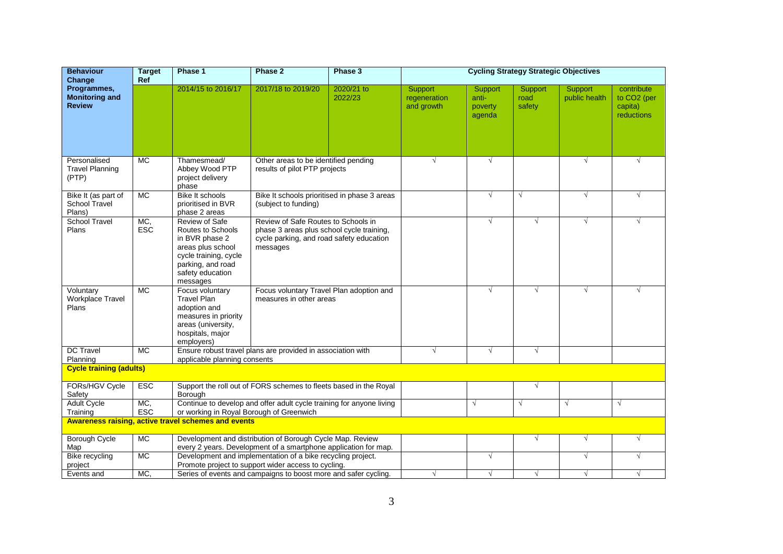| <b>Behaviour</b><br>Change                                 | <b>Target</b><br>Ref | Phase 1                                                                                                                                                  | Phase 2                                                                                                                                  | Phase 3                                      | <b>Cycling Strategy Strategic Objectives</b> |                                       |                           |                          |                                                                |  |
|------------------------------------------------------------|----------------------|----------------------------------------------------------------------------------------------------------------------------------------------------------|------------------------------------------------------------------------------------------------------------------------------------------|----------------------------------------------|----------------------------------------------|---------------------------------------|---------------------------|--------------------------|----------------------------------------------------------------|--|
| Programmes,<br><b>Monitoring and</b><br><b>Review</b>      |                      | 2014/15 to 2016/17                                                                                                                                       | 2017/18 to 2019/20                                                                                                                       | 2020/21 to<br>2022/23                        | Support<br>regeneration<br>and growth        | Support<br>anti-<br>poverty<br>agenda | Support<br>road<br>safety | Support<br>public health | contribute<br>to CO <sub>2</sub> (per<br>capita)<br>reductions |  |
| Personalised<br><b>Travel Planning</b><br>(PTP)            | <b>MC</b>            | Thamesmead/<br>Abbey Wood PTP<br>project delivery<br>phase                                                                                               | Other areas to be identified pending<br>results of pilot PTP projects                                                                    |                                              | $\sqrt{}$                                    | $\sqrt{}$                             |                           | $\sqrt{}$                | $\sqrt{ }$                                                     |  |
| Bike It (as part of<br><b>School Travel</b><br>Plans)      | MC                   | <b>Bike It schools</b><br>prioritised in BVR<br>phase 2 areas                                                                                            | (subject to funding)                                                                                                                     | Bike It schools prioritised in phase 3 areas |                                              | $\sqrt{ }$                            | $\sqrt{ }$                | $\sqrt{}$                | $\sqrt{ }$                                                     |  |
| <b>School Travel</b><br>Plans                              | MC,<br><b>ESC</b>    | Review of Safe<br>Routes to Schools<br>in BVR phase 2<br>areas plus school<br>cycle training, cycle<br>parking, and road<br>safety education<br>messages | Review of Safe Routes to Schools in<br>phase 3 areas plus school cycle training,<br>cycle parking, and road safety education<br>messages |                                              |                                              | $\sqrt{ }$                            | V                         | $\sqrt{ }$               | $\sqrt{ }$                                                     |  |
| Voluntary<br>Workplace Travel<br>Plans                     | $\overline{MC}$      | Focus voluntary<br><b>Travel Plan</b><br>adoption and<br>measures in priority<br>areas (university,<br>hospitals, major<br>employers)                    | Focus voluntary Travel Plan adoption and<br>measures in other areas                                                                      |                                              |                                              | √                                     | √                         | $\sqrt{ }$               |                                                                |  |
| <b>DC Travel</b><br>Planning                               | $\overline{MC}$      | applicable planning consents                                                                                                                             | Ensure robust travel plans are provided in association with                                                                              |                                              |                                              | $\sqrt{ }$                            | $\sqrt{ }$                |                          |                                                                |  |
| <b>Cycle training (adults)</b>                             |                      |                                                                                                                                                          |                                                                                                                                          |                                              |                                              |                                       |                           |                          |                                                                |  |
| <b>FORs/HGV Cycle</b><br>Safety                            | <b>ESC</b>           | Borough                                                                                                                                                  | Support the roll out of FORS schemes to fleets based in the Royal                                                                        |                                              |                                              |                                       | $\sqrt{ }$                |                          |                                                                |  |
| <b>Adult Cycle</b><br>Training                             | MC,<br><b>ESC</b>    | or working in Royal Borough of Greenwich                                                                                                                 | Continue to develop and offer adult cycle training for anyone living                                                                     |                                              |                                              | $\sqrt{ }$                            | $\sqrt{ }$                | $\sqrt{ }$               | $\sqrt{ }$                                                     |  |
| <b>Awareness raising, active travel schemes and events</b> |                      |                                                                                                                                                          |                                                                                                                                          |                                              |                                              |                                       |                           |                          |                                                                |  |
| <b>Borough Cycle</b>                                       | $\overline{MC}$      |                                                                                                                                                          | Development and distribution of Borough Cycle Map. Review                                                                                |                                              |                                              |                                       | $\sqrt{ }$                | $\sqrt{}$                | $\sqrt{}$                                                      |  |
| Map                                                        | $\overline{MC}$      |                                                                                                                                                          | every 2 years. Development of a smartphone application for map.<br>Development and implementation of a bike recycling project.           |                                              |                                              | $\sqrt{ }$                            |                           | $\sqrt{ }$               | $\sqrt{ }$                                                     |  |
| Bike recycling<br>project                                  |                      |                                                                                                                                                          | Promote project to support wider access to cycling.                                                                                      |                                              |                                              |                                       |                           |                          |                                                                |  |
| Events and                                                 | MC,                  |                                                                                                                                                          | Series of events and campaigns to boost more and safer cycling.                                                                          |                                              | $\sqrt{ }$                                   | √                                     | $\sqrt{ }$                | $\sqrt{ }$               | $\sqrt{ }$                                                     |  |